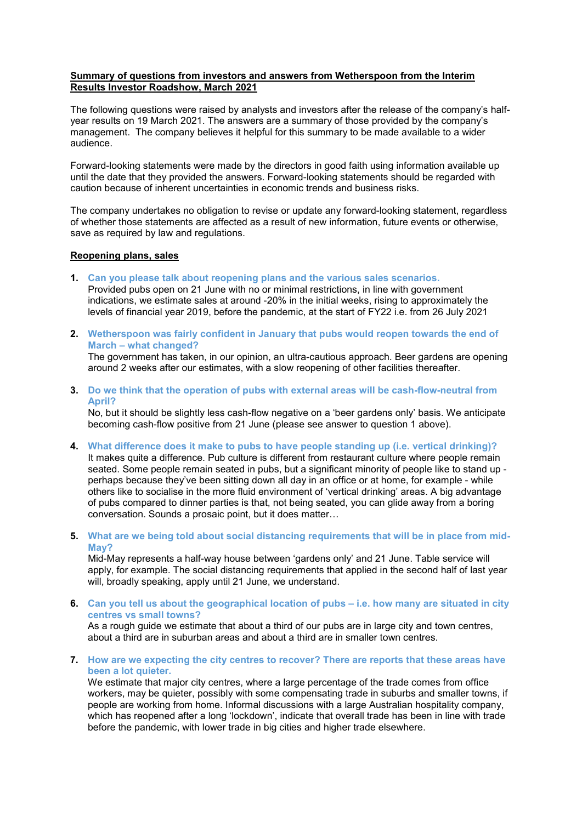# **Summary of questions from investors and answers from Wetherspoon from the Interim Results Investor Roadshow, March 2021**

The following questions were raised by analysts and investors after the release of the company's halfyear results on 19 March 2021. The answers are a summary of those provided by the company's management. The company believes it helpful for this summary to be made available to a wider audience.

Forward-looking statements were made by the directors in good faith using information available up until the date that they provided the answers. Forward-looking statements should be regarded with caution because of inherent uncertainties in economic trends and business risks.

The company undertakes no obligation to revise or update any forward-looking statement, regardless of whether those statements are affected as a result of new information, future events or otherwise, save as required by law and regulations.

# **Reopening plans, sales**

**1. Can you please talk about reopening plans and the various sales scenarios.**

Provided pubs open on 21 June with no or minimal restrictions, in line with government indications, we estimate sales at around -20% in the initial weeks, rising to approximately the levels of financial year 2019, before the pandemic, at the start of FY22 i.e. from 26 July 2021

**2. Wetherspoon was fairly confident in January that pubs would reopen towards the end of March – what changed?**

The government has taken, in our opinion, an ultra-cautious approach. Beer gardens are opening around 2 weeks after our estimates, with a slow reopening of other facilities thereafter.

**3. Do we think that the operation of pubs with external areas will be cash-flow-neutral from April?**

No, but it should be slightly less cash-flow negative on a 'beer gardens only' basis. We anticipate becoming cash-flow positive from 21 June (please see answer to question 1 above).

- **4. What difference does it make to pubs to have people standing up (i.e. vertical drinking)?** It makes quite a difference. Pub culture is different from restaurant culture where people remain seated. Some people remain seated in pubs, but a significant minority of people like to stand up perhaps because they've been sitting down all day in an office or at home, for example - while others like to socialise in the more fluid environment of 'vertical drinking' areas. A big advantage of pubs compared to dinner parties is that, not being seated, you can glide away from a boring conversation. Sounds a prosaic point, but it does matter…
- **5. What are we being told about social distancing requirements that will be in place from mid-May?**

Mid-May represents a half-way house between 'gardens only' and 21 June. Table service will apply, for example. The social distancing requirements that applied in the second half of last year will, broadly speaking, apply until 21 June, we understand.

**6. Can you tell us about the geographical location of pubs – i.e. how many are situated in city centres vs small towns?** As a rough guide we estimate that about a third of our pubs are in large city and town centres,

about a third are in suburban areas and about a third are in smaller town centres.

**7. How are we expecting the city centres to recover? There are reports that these areas have been a lot quieter.**

We estimate that major city centres, where a large percentage of the trade comes from office workers, may be quieter, possibly with some compensating trade in suburbs and smaller towns, if people are working from home. Informal discussions with a large Australian hospitality company, which has reopened after a long 'lockdown', indicate that overall trade has been in line with trade before the pandemic, with lower trade in big cities and higher trade elsewhere.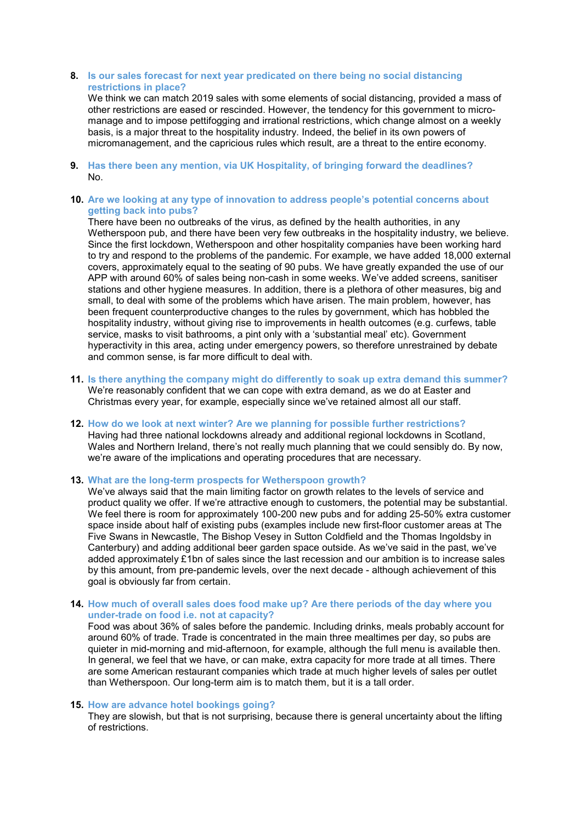## **8. Is our sales forecast for next year predicated on there being no social distancing restrictions in place?**

We think we can match 2019 sales with some elements of social distancing, provided a mass of other restrictions are eased or rescinded. However, the tendency for this government to micromanage and to impose pettifogging and irrational restrictions, which change almost on a weekly basis, is a major threat to the hospitality industry. Indeed, the belief in its own powers of micromanagement, and the capricious rules which result, are a threat to the entire economy.

**9. Has there been any mention, via UK Hospitality, of bringing forward the deadlines?** No.

### **10. Are we looking at any type of innovation to address people's potential concerns about getting back into pubs?**

There have been no outbreaks of the virus, as defined by the health authorities, in any Wetherspoon pub, and there have been very few outbreaks in the hospitality industry, we believe. Since the first lockdown, Wetherspoon and other hospitality companies have been working hard to try and respond to the problems of the pandemic. For example, we have added 18,000 external covers, approximately equal to the seating of 90 pubs. We have greatly expanded the use of our APP with around 60% of sales being non-cash in some weeks. We've added screens, sanitiser stations and other hygiene measures. In addition, there is a plethora of other measures, big and small, to deal with some of the problems which have arisen. The main problem, however, has been frequent counterproductive changes to the rules by government, which has hobbled the hospitality industry, without giving rise to improvements in health outcomes (e.g. curfews, table service, masks to visit bathrooms, a pint only with a 'substantial meal' etc). Government hyperactivity in this area, acting under emergency powers, so therefore unrestrained by debate and common sense, is far more difficult to deal with.

- **11. Is there anything the company might do differently to soak up extra demand this summer?** We're reasonably confident that we can cope with extra demand, as we do at Easter and Christmas every year, for example, especially since we've retained almost all our staff.
- **12. How do we look at next winter? Are we planning for possible further restrictions?**  Having had three national lockdowns already and additional regional lockdowns in Scotland, Wales and Northern Ireland, there's not really much planning that we could sensibly do. By now, we're aware of the implications and operating procedures that are necessary.

# **13. What are the long-term prospects for Wetherspoon growth?**

We've always said that the main limiting factor on growth relates to the levels of service and product quality we offer. If we're attractive enough to customers, the potential may be substantial. We feel there is room for approximately 100-200 new pubs and for adding 25-50% extra customer space inside about half of existing pubs (examples include new first-floor customer areas at The Five Swans in Newcastle, The Bishop Vesey in Sutton Coldfield and the Thomas Ingoldsby in Canterbury) and adding additional beer garden space outside. As we've said in the past, we've added approximately £1bn of sales since the last recession and our ambition is to increase sales by this amount, from pre-pandemic levels, over the next decade - although achievement of this goal is obviously far from certain.

### **14. How much of overall sales does food make up? Are there periods of the day where you under-trade on food i.e. not at capacity?**

Food was about 36% of sales before the pandemic. Including drinks, meals probably account for around 60% of trade. Trade is concentrated in the main three mealtimes per day, so pubs are quieter in mid-morning and mid-afternoon, for example, although the full menu is available then. In general, we feel that we have, or can make, extra capacity for more trade at all times. There are some American restaurant companies which trade at much higher levels of sales per outlet than Wetherspoon. Our long-term aim is to match them, but it is a tall order.

#### **15. How are advance hotel bookings going?**

They are slowish, but that is not surprising, because there is general uncertainty about the lifting of restrictions.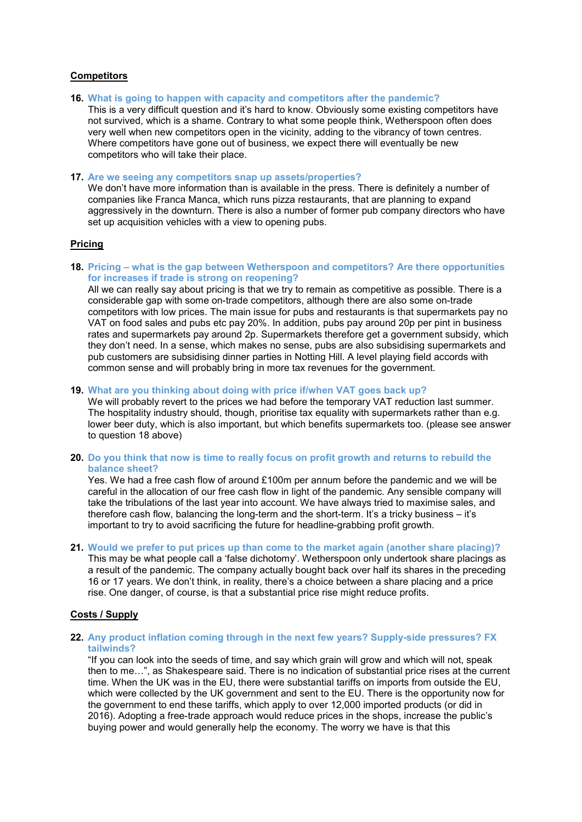# **Competitors**

**16. What is going to happen with capacity and competitors after the pandemic?**

This is a very difficult question and it's hard to know. Obviously some existing competitors have not survived, which is a shame. Contrary to what some people think, Wetherspoon often does very well when new competitors open in the vicinity, adding to the vibrancy of town centres. Where competitors have gone out of business, we expect there will eventually be new competitors who will take their place.

### **17. Are we seeing any competitors snap up assets/properties?**

We don't have more information than is available in the press. There is definitely a number of companies like Franca Manca, which runs pizza restaurants, that are planning to expand aggressively in the downturn. There is also a number of former pub company directors who have set up acquisition vehicles with a view to opening pubs.

# **Pricing**

**18. Pricing – what is the gap between Wetherspoon and competitors? Are there opportunities for increases if trade is strong on reopening?**

All we can really say about pricing is that we try to remain as competitive as possible. There is a considerable gap with some on-trade competitors, although there are also some on-trade competitors with low prices. The main issue for pubs and restaurants is that supermarkets pay no VAT on food sales and pubs etc pay 20%. In addition, pubs pay around 20p per pint in business rates and supermarkets pay around 2p. Supermarkets therefore get a government subsidy, which they don't need. In a sense, which makes no sense, pubs are also subsidising supermarkets and pub customers are subsidising dinner parties in Notting Hill. A level playing field accords with common sense and will probably bring in more tax revenues for the government.

### **19. What are you thinking about doing with price if/when VAT goes back up?**

We will probably revert to the prices we had before the temporary VAT reduction last summer. The hospitality industry should, though, prioritise tax equality with supermarkets rather than e.g. lower beer duty, which is also important, but which benefits supermarkets too. (please see answer to question 18 above)

**20. Do you think that now is time to really focus on profit growth and returns to rebuild the balance sheet?**

Yes. We had a free cash flow of around £100m per annum before the pandemic and we will be careful in the allocation of our free cash flow in light of the pandemic. Any sensible company will take the tribulations of the last year into account. We have always tried to maximise sales, and therefore cash flow, balancing the long-term and the short-term. It's a tricky business – it's important to try to avoid sacrificing the future for headline-grabbing profit growth.

**21. Would we prefer to put prices up than come to the market again (another share placing)?**

This may be what people call a 'false dichotomy'. Wetherspoon only undertook share placings as a result of the pandemic. The company actually bought back over half its shares in the preceding 16 or 17 years. We don't think, in reality, there's a choice between a share placing and a price rise. One danger, of course, is that a substantial price rise might reduce profits.

## **Costs / Supply**

## **22. Any product inflation coming through in the next few years? Supply-side pressures? FX tailwinds?**

"If you can look into the seeds of time, and say which grain will grow and which will not, speak then to me…", as Shakespeare said. There is no indication of substantial price rises at the current time. When the UK was in the EU, there were substantial tariffs on imports from outside the EU, which were collected by the UK government and sent to the EU. There is the opportunity now for the government to end these tariffs, which apply to over 12,000 imported products (or did in 2016). Adopting a free-trade approach would reduce prices in the shops, increase the public's buying power and would generally help the economy. The worry we have is that this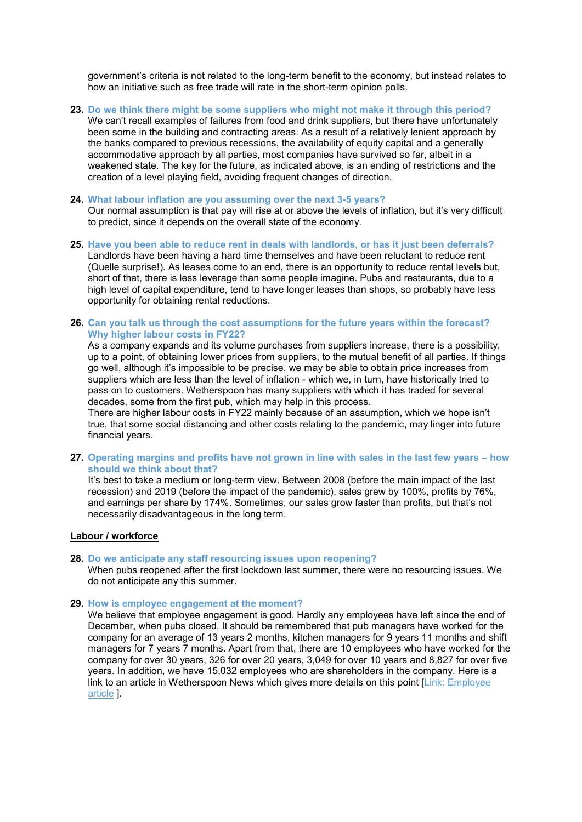government's criteria is not related to the long-term benefit to the economy, but instead relates to how an initiative such as free trade will rate in the short-term opinion polls.

**23. Do we think there might be some suppliers who might not make it through this period?** We can't recall examples of failures from food and drink suppliers, but there have unfortunately been some in the building and contracting areas. As a result of a relatively lenient approach by the banks compared to previous recessions, the availability of equity capital and a generally accommodative approach by all parties, most companies have survived so far, albeit in a weakened state. The key for the future, as indicated above, is an ending of restrictions and the creation of a level playing field, avoiding frequent changes of direction.

#### **24. What labour inflation are you assuming over the next 3-5 years?**

Our normal assumption is that pay will rise at or above the levels of inflation, but it's very difficult to predict, since it depends on the overall state of the economy.

- **25. Have you been able to reduce rent in deals with landlords, or has it just been deferrals?** Landlords have been having a hard time themselves and have been reluctant to reduce rent (Quelle surprise!). As leases come to an end, there is an opportunity to reduce rental levels but, short of that, there is less leverage than some people imagine. Pubs and restaurants, due to a high level of capital expenditure, tend to have longer leases than shops, so probably have less opportunity for obtaining rental reductions.
- **26. Can you talk us through the cost assumptions for the future years within the forecast? Why higher labour costs in FY22?**

As a company expands and its volume purchases from suppliers increase, there is a possibility, up to a point, of obtaining lower prices from suppliers, to the mutual benefit of all parties. If things go well, although it's impossible to be precise, we may be able to obtain price increases from suppliers which are less than the level of inflation - which we, in turn, have historically tried to pass on to customers. Wetherspoon has many suppliers with which it has traded for several decades, some from the first pub, which may help in this process.

There are higher labour costs in FY22 mainly because of an assumption, which we hope isn't true, that some social distancing and other costs relating to the pandemic, may linger into future financial years.

**27. Operating margins and profits have not grown in line with sales in the last few years – how should we think about that?**

It's best to take a medium or long-term view. Between 2008 (before the main impact of the last recession) and 2019 (before the impact of the pandemic), sales grew by 100%, profits by 76%, and earnings per share by 174%. Sometimes, our sales grow faster than profits, but that's not necessarily disadvantageous in the long term.

### **Labour / workforce**

#### **28. Do we anticipate any staff resourcing issues upon reopening?**

When pubs reopened after the first lockdown last summer, there were no resourcing issues. We do not anticipate any this summer.

## **29. How is employee engagement at the moment?**

We believe that employee engagement is good. Hardly any employees have left since the end of December, when pubs closed. It should be remembered that pub managers have worked for the company for an average of 13 years 2 months, kitchen managers for 9 years 11 months and shift managers for 7 years 7 months. Apart from that, there are 10 employees who have worked for the company for over 30 years, 326 for over 20 years, 3,049 for over 10 years and 8,827 for over five years. In addition, we have 15,032 employees who are shareholders in the company. Here is a link to an article in Wetherspoon News which gives more details on this point [Link: [Employee](https://www.jdwetherspoon.com/news/2021/03/shares-and-bonuses)  [article](https://www.jdwetherspoon.com/news/2021/03/shares-and-bonuses) ].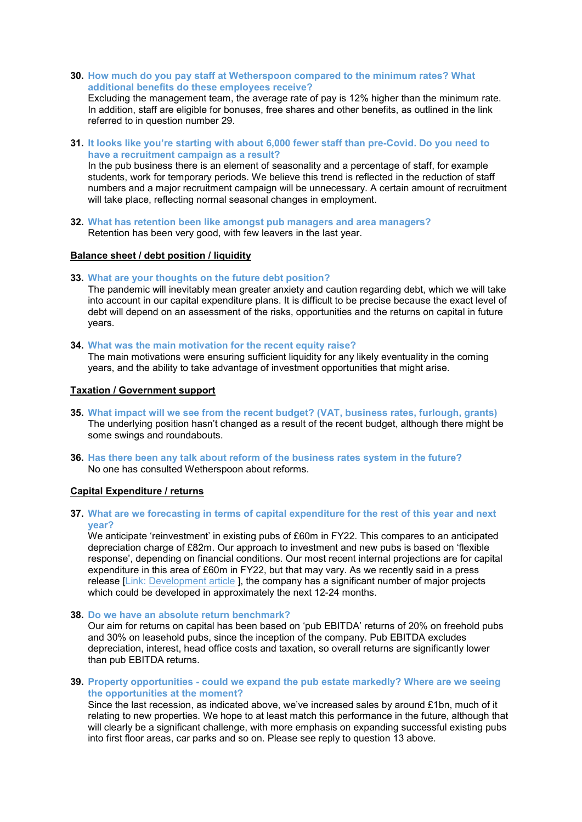**30. How much do you pay staff at Wetherspoon compared to the minimum rates? What additional benefits do these employees receive?**

Excluding the management team, the average rate of pay is 12% higher than the minimum rate. In addition, staff are eligible for bonuses, free shares and other benefits, as outlined in the link referred to in question number 29.

**31. It looks like you're starting with about 6,000 fewer staff than pre-Covid. Do you need to have a recruitment campaign as a result?**

In the pub business there is an element of seasonality and a percentage of staff, for example students, work for temporary periods. We believe this trend is reflected in the reduction of staff numbers and a major recruitment campaign will be unnecessary. A certain amount of recruitment will take place, reflecting normal seasonal changes in employment.

**32. What has retention been like amongst pub managers and area managers?** Retention has been very good, with few leavers in the last year.

# **Balance sheet / debt position / liquidity**

### **33. What are your thoughts on the future debt position?**

The pandemic will inevitably mean greater anxiety and caution regarding debt, which we will take into account in our capital expenditure plans. It is difficult to be precise because the exact level of debt will depend on an assessment of the risks, opportunities and the returns on capital in future years.

#### **34. What was the main motivation for the recent equity raise?**

The main motivations were ensuring sufficient liquidity for any likely eventuality in the coming years, and the ability to take advantage of investment opportunities that might arise.

# **Taxation / Government support**

- **35. What impact will we see from the recent budget? (VAT, business rates, furlough, grants)** The underlying position hasn't changed as a result of the recent budget, although there might be some swings and roundabouts.
- **36. Has there been any talk about reform of the business rates system in the future?** No one has consulted Wetherspoon about reforms.

# **Capital Expenditure / returns**

### **37. What are we forecasting in terms of capital expenditure for the rest of this year and next year?**

We anticipate 'reinvestment' in existing pubs of £60m in FY22. This compares to an anticipated depreciation charge of £82m. Our approach to investment and new pubs is based on 'flexible response', depending on financial conditions. Our most recent internal projections are for capital expenditure in this area of £60m in FY22, but that may vary. As we recently said in a press release [Link: [Development article](https://www.jdwetherspoon.com/news/2021/03/press-release-30-march) ], the company has a significant number of major projects which could be developed in approximately the next 12-24 months.

**38. Do we have an absolute return benchmark?**

Our aim for returns on capital has been based on 'pub EBITDA' returns of 20% on freehold pubs and 30% on leasehold pubs, since the inception of the company. Pub EBITDA excludes depreciation, interest, head office costs and taxation, so overall returns are significantly lower than pub EBITDA returns.

**39. Property opportunities - could we expand the pub estate markedly? Where are we seeing the opportunities at the moment?**

Since the last recession, as indicated above, we've increased sales by around £1bn, much of it relating to new properties. We hope to at least match this performance in the future, although that will clearly be a significant challenge, with more emphasis on expanding successful existing pubs into first floor areas, car parks and so on. Please see reply to question 13 above.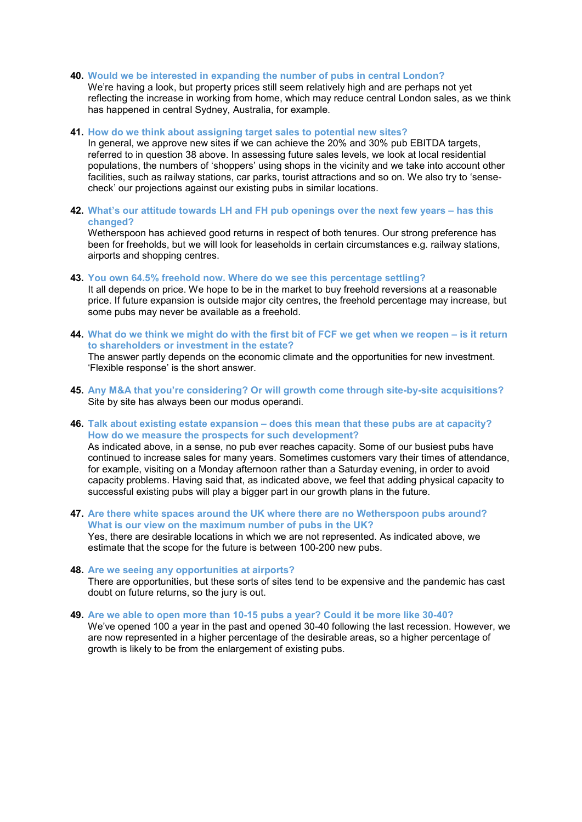### **40. Would we be interested in expanding the number of pubs in central London?**

We're having a look, but property prices still seem relatively high and are perhaps not yet reflecting the increase in working from home, which may reduce central London sales, as we think has happened in central Sydney, Australia, for example.

**41. How do we think about assigning target sales to potential new sites?**

In general, we approve new sites if we can achieve the 20% and 30% pub EBITDA targets, referred to in question 38 above. In assessing future sales levels, we look at local residential populations, the numbers of 'shoppers' using shops in the vicinity and we take into account other facilities, such as railway stations, car parks, tourist attractions and so on. We also try to 'sensecheck' our projections against our existing pubs in similar locations.

**42. What's our attitude towards LH and FH pub openings over the next few years – has this changed?**

Wetherspoon has achieved good returns in respect of both tenures. Our strong preference has been for freeholds, but we will look for leaseholds in certain circumstances e.g. railway stations, airports and shopping centres.

- **43. You own 64.5% freehold now. Where do we see this percentage settling?** It all depends on price. We hope to be in the market to buy freehold reversions at a reasonable price. If future expansion is outside major city centres, the freehold percentage may increase, but some pubs may never be available as a freehold.
- **44. What do we think we might do with the first bit of FCF we get when we reopen – is it return to shareholders or investment in the estate?** The answer partly depends on the economic climate and the opportunities for new investment. 'Flexible response' is the short answer.
- **45. Any M&A that you're considering? Or will growth come through site-by-site acquisitions?** Site by site has always been our modus operandi.
- **46. Talk about existing estate expansion – does this mean that these pubs are at capacity? How do we measure the prospects for such development?**

As indicated above, in a sense, no pub ever reaches capacity. Some of our busiest pubs have continued to increase sales for many years. Sometimes customers vary their times of attendance, for example, visiting on a Monday afternoon rather than a Saturday evening, in order to avoid capacity problems. Having said that, as indicated above, we feel that adding physical capacity to successful existing pubs will play a bigger part in our growth plans in the future.

**47. Are there white spaces around the UK where there are no Wetherspoon pubs around? What is our view on the maximum number of pubs in the UK?** Yes, there are desirable locations in which we are not represented. As indicated above, we

estimate that the scope for the future is between 100-200 new pubs.

- **48. Are we seeing any opportunities at airports?** There are opportunities, but these sorts of sites tend to be expensive and the pandemic has cast doubt on future returns, so the jury is out.
- **49. Are we able to open more than 10-15 pubs a year? Could it be more like 30-40?** We've opened 100 a year in the past and opened 30-40 following the last recession. However, we are now represented in a higher percentage of the desirable areas, so a higher percentage of growth is likely to be from the enlargement of existing pubs.